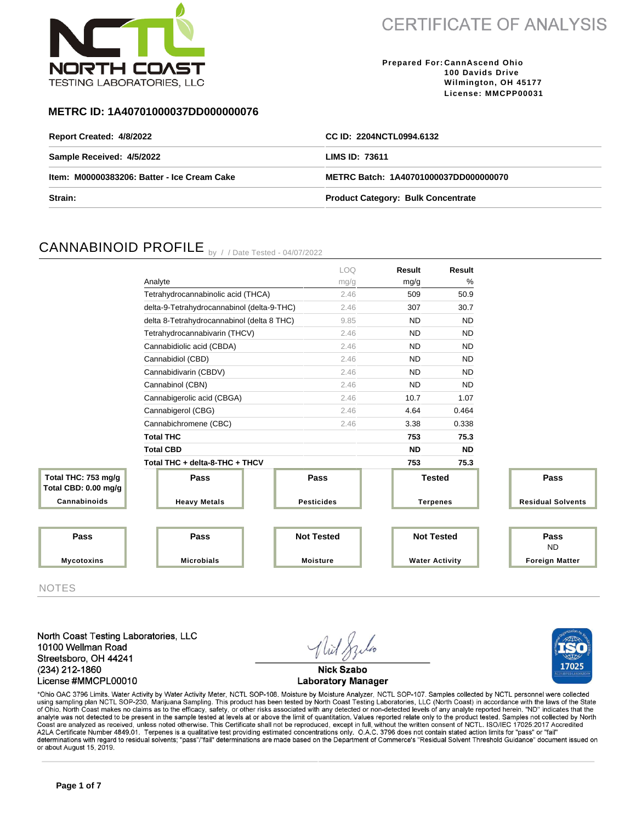

17025

**Prepared For: CannAscend Ohio 100 Davids Drive Wilmington, OH 45177 License: MMCPP00031**

### **METRC ID: 1A40701000037DD000000076**

| Report Created: 4/8/2022                    | CC ID: 2204NCTL0994.6132                  |
|---------------------------------------------|-------------------------------------------|
| Sample Received: 4/5/2022                   | LIMS ID: 73611                            |
| Item: M00000383206: Batter - Ice Cream Cake | METRC Batch: 1A40701000037DD000000070     |
| Strain:                                     | <b>Product Category: Bulk Concentrate</b> |

### CANNABINOID PROFILE by //Date Tested - 04/07/2022

|                                             |                                            | <b>LOQ</b>        | Result                | Result    |                          |
|---------------------------------------------|--------------------------------------------|-------------------|-----------------------|-----------|--------------------------|
|                                             | Analyte                                    | mg/g              | mg/g                  | %         |                          |
|                                             | Tetrahydrocannabinolic acid (THCA)         | 2.46              | 509                   | 50.9      |                          |
|                                             | delta-9-Tetrahydrocannabinol (delta-9-THC) | 2.46              | 307                   | 30.7      |                          |
|                                             | delta 8-Tetrahydrocannabinol (delta 8 THC) | 9.85              | <b>ND</b>             | <b>ND</b> |                          |
|                                             | Tetrahydrocannabivarin (THCV)              | 2.46              | <b>ND</b>             | <b>ND</b> |                          |
|                                             | Cannabidiolic acid (CBDA)                  | 2.46              | <b>ND</b>             | <b>ND</b> |                          |
|                                             | Cannabidiol (CBD)                          | 2.46              | <b>ND</b>             | <b>ND</b> |                          |
|                                             | Cannabidivarin (CBDV)                      | 2.46              | <b>ND</b>             | <b>ND</b> |                          |
|                                             | Cannabinol (CBN)                           | 2.46              | <b>ND</b>             | <b>ND</b> |                          |
|                                             | Cannabigerolic acid (CBGA)                 | 2.46              | 10.7                  | 1.07      |                          |
|                                             | Cannabigerol (CBG)                         | 2.46              | 4.64                  | 0.464     |                          |
|                                             | Cannabichromene (CBC)                      | 2.46              | 3.38                  | 0.338     |                          |
|                                             | <b>Total THC</b>                           |                   | 753                   | 75.3      |                          |
|                                             | <b>Total CBD</b>                           |                   | <b>ND</b>             | <b>ND</b> |                          |
|                                             | Total THC + delta-8-THC + THCV             |                   | 753                   | 75.3      |                          |
| Total THC: 753 mg/g<br>Total CBD: 0.00 mg/g | Pass                                       | Pass              | <b>Tested</b>         |           | Pass                     |
| Cannabinoids                                | <b>Heavy Metals</b>                        | <b>Pesticides</b> | <b>Terpenes</b>       |           | <b>Residual Solvents</b> |
|                                             |                                            |                   |                       |           |                          |
|                                             |                                            |                   |                       |           |                          |
| Pass                                        | Pass                                       | <b>Not Tested</b> | <b>Not Tested</b>     |           | Pass<br><b>ND</b>        |
| <b>Mycotoxins</b>                           | <b>Microbials</b>                          | <b>Moisture</b>   | <b>Water Activity</b> |           | <b>Foreign Matter</b>    |
|                                             |                                            |                   |                       |           |                          |

NOTES

North Coast Testing Laboratories, LLC 10100 Wellman Road Streetsboro, OH 44241 (234) 212-1860 License #MMCPL00010



\*Ohio OAC 3796 Limits. Water Activity by Water Activity Meter, NCTL SOP-108. Moisture by Moisture Analyzer, NCTL SOP-107. Samples collected by NCTL personnel were collected using sampling plan NCTL SOP-230, Marijuana Sampling. This product has been tested by North Coast Testing Laboratories, LLC (North Coast) in accordance with the laws of the State<br>of Ohio. North Coast makes no claims as to Coast are analyzed as received, unless noted otherwise. This Certificate shall not be reproduced, except in full, without the written consent of NCTL. ISO/IEC 17025:2017 Accredited<br>A2LA Certificate Number 4849.01. Terpenes determinations with regard to residual solvents; "pass"/"fail" determinations are made based on the Department of Commerce's "Residual Solvent Threshold Guidance" document issued on or about August 15, 2019.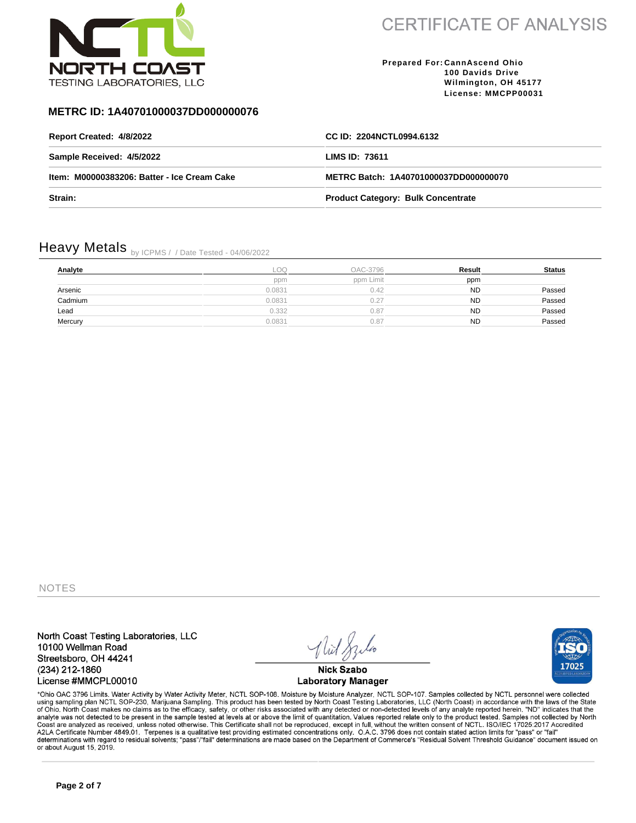

**Prepared For: CannAscend Ohio 100 Davids Drive Wilmington, OH 45177 License: MMCPP00031**

### **METRC ID: 1A40701000037DD000000076**

| Report Created: 4/8/2022                    | CC ID: 2204NCTL0994.6132                  |
|---------------------------------------------|-------------------------------------------|
| Sample Received: 4/5/2022                   | LIMS ID: 73611                            |
| Item: M00000383206: Batter - Ice Cream Cake | METRC Batch: 1A40701000037DD000000070     |
| Strain:                                     | <b>Product Category: Bulk Concentrate</b> |

# Heavy Metals by ICPMS / / Date Tested - 04/06/2022

| Analyte | -OO-   | OAC-3796  | Result    | <b>Status</b> |
|---------|--------|-----------|-----------|---------------|
|         | ppm    | ppm Limit | ppm       |               |
| Arsenic | 0.0831 | 0.42      | <b>ND</b> | Passed        |
| Cadmium | 0.0831 | 0.27      | <b>ND</b> | Passed        |
| Lead    | 0.332  | 0.87      | <b>ND</b> | Passed        |
| Mercury | 0.0831 | 0.87      | <b>ND</b> | Passed        |

NOTES

North Coast Testing Laboratories, LLC 10100 Wellman Road Streetsboro, OH 44241 (234) 212-1860 License #MMCPL00010

**Nick Szabo Laboratory Manager** 

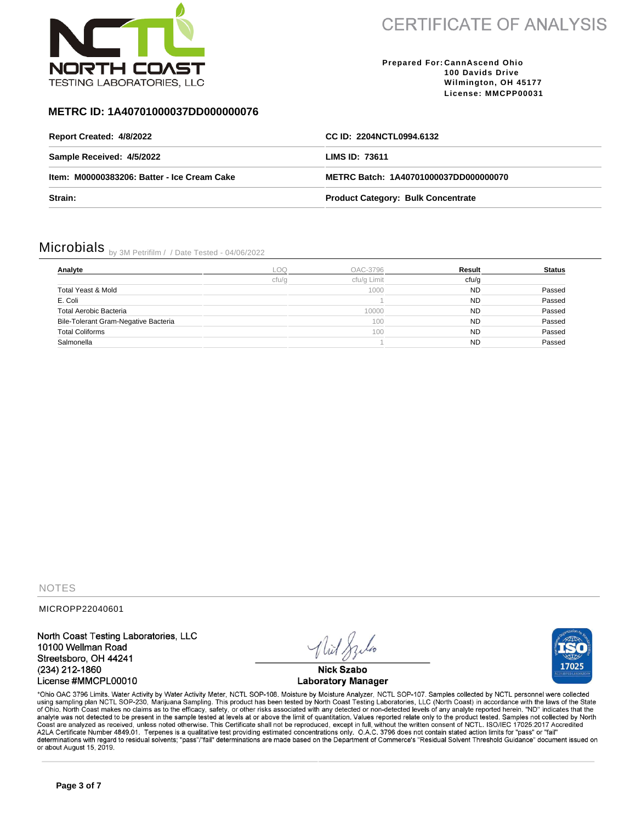

**Prepared For: CannAscend Ohio 100 Davids Drive Wilmington, OH 45177 License: MMCPP00031**

### **METRC ID: 1A40701000037DD000000076**

| Report Created: 4/8/2022                    | CC ID: 2204NCTL0994.6132                  |
|---------------------------------------------|-------------------------------------------|
| Sample Received: 4/5/2022                   | LIMS ID: 73611                            |
| Item: M00000383206: Batter - Ice Cream Cake | METRC Batch: 1A40701000037DD000000070     |
| Strain:                                     | <b>Product Category: Bulk Concentrate</b> |

## Microbials by 3M Petrifilm / / Date Tested - 04/06/2022

| Analyte                              | LOQ   | OAC-3796    | Result    | <b>Status</b> |
|--------------------------------------|-------|-------------|-----------|---------------|
|                                      | cfu/g | cfu/g Limit | cfu/g     |               |
| Total Yeast & Mold                   |       | 1000        | <b>ND</b> | Passed        |
| E. Coli                              |       |             | <b>ND</b> | Passed        |
| <b>Total Aerobic Bacteria</b>        |       | 10000       | <b>ND</b> | Passed        |
| Bile-Tolerant Gram-Negative Bacteria |       | 100         | <b>ND</b> | Passed        |
| <b>Total Coliforms</b>               |       | 100         | <b>ND</b> | Passed        |
| Salmonella                           |       |             | <b>ND</b> | Passed        |

**NOTES** 

MICROPP22040601

North Coast Testing Laboratories, LLC 10100 Wellman Road Streetsboro, OH 44241 (234) 212-1860 License #MMCPL00010

**Nick Szabo Laboratory Manager** 

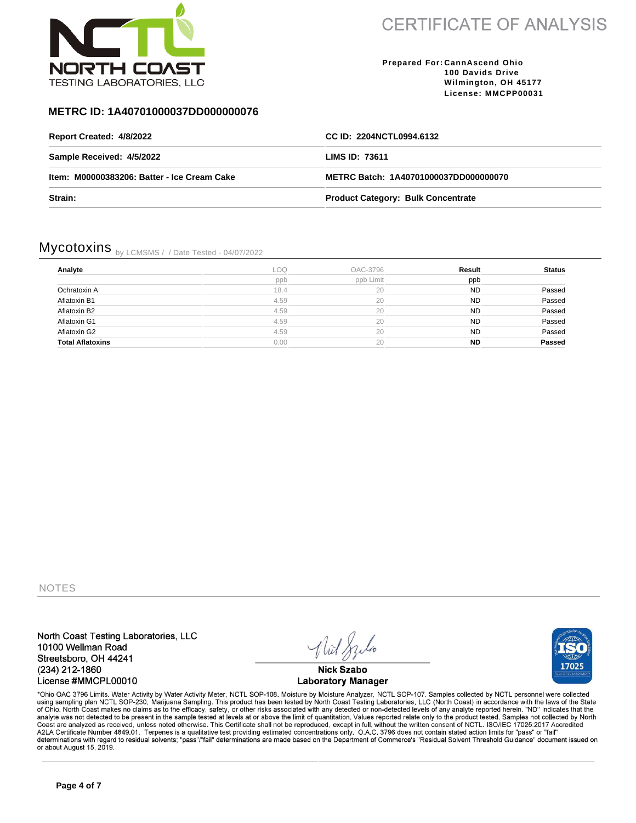

**Prepared For: CannAscend Ohio 100 Davids Drive Wilmington, OH 45177 License: MMCPP00031**

### **METRC ID: 1A40701000037DD000000076**

| Report Created: 4/8/2022                    | CC ID: 2204NCTL0994.6132                  |
|---------------------------------------------|-------------------------------------------|
| Sample Received: 4/5/2022                   | LIMS ID: 73611                            |
| Item: M00000383206: Batter - Ice Cream Cake | METRC Batch: 1A40701000037DD000000070     |
| Strain:                                     | <b>Product Category: Bulk Concentrate</b> |

## Mycotoxins by LCMSMS / / Date Tested - 04/07/2022

| Analyte                 | LOQ  | OAC-3796  | Result    | <b>Status</b> |
|-------------------------|------|-----------|-----------|---------------|
|                         | ppb  | ppb Limit | ppb       |               |
| Ochratoxin A            | 18.4 | 20        | <b>ND</b> | Passed        |
| Aflatoxin B1            | 4.59 | 20        | <b>ND</b> | Passed        |
| Aflatoxin B2            | 4.59 | 20        | <b>ND</b> | Passed        |
| Aflatoxin G1            | 4.59 | 20        | <b>ND</b> | Passed        |
| Aflatoxin G2            | 4.59 | 20        | <b>ND</b> | Passed        |
| <b>Total Aflatoxins</b> | 0.00 | 20        | <b>ND</b> | Passed        |

NOTES

North Coast Testing Laboratories, LLC 10100 Wellman Road Streetsboro, OH 44241 (234) 212-1860 License #MMCPL00010

**Nick Szabo Laboratory Manager** 

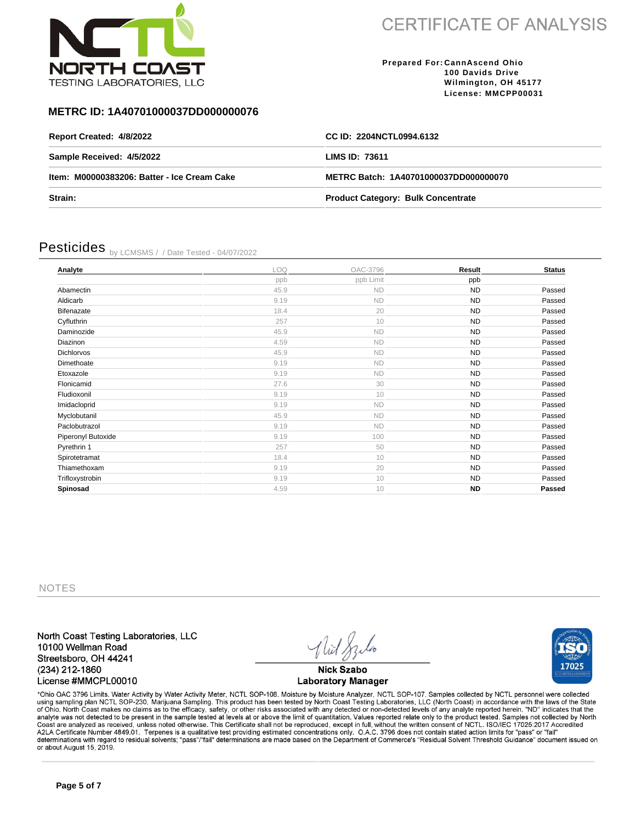

**Prepared For: CannAscend Ohio 100 Davids Drive Wilmington, OH 45177 License: MMCPP00031**

#### **METRC ID: 1A40701000037DD000000076**

| Report Created: 4/8/2022                    | CC ID: 2204NCTL0994.6132                  |
|---------------------------------------------|-------------------------------------------|
| Sample Received: 4/5/2022                   | LIMS ID: 73611                            |
| Item: M00000383206: Batter - Ice Cream Cake | METRC Batch: 1A40701000037DD000000070     |
| <b>Strain:</b>                              | <b>Product Category: Bulk Concentrate</b> |

## Pesticides by LCMSMS / / Date Tested - 04/07/2022

| Analyte            | LOQ  | OAC-3796  | Result    | <b>Status</b> |
|--------------------|------|-----------|-----------|---------------|
|                    | ppb  | ppb Limit | ppb       |               |
| Abamectin          | 45.9 | <b>ND</b> | <b>ND</b> | Passed        |
| Aldicarb           | 9.19 | <b>ND</b> | <b>ND</b> | Passed        |
| Bifenazate         | 18.4 | 20        | <b>ND</b> | Passed        |
| Cyfluthrin         | 257  | 10        | <b>ND</b> | Passed        |
| Daminozide         | 45.9 | <b>ND</b> | <b>ND</b> | Passed        |
| Diazinon           | 4.59 | <b>ND</b> | <b>ND</b> | Passed        |
| Dichlorvos         | 45.9 | <b>ND</b> | <b>ND</b> | Passed        |
| Dimethoate         | 9.19 | <b>ND</b> | ND        | Passed        |
| Etoxazole          | 9.19 | <b>ND</b> | <b>ND</b> | Passed        |
| Flonicamid         | 27.6 | 30        | <b>ND</b> | Passed        |
| Fludioxonil        | 9.19 | 10        | <b>ND</b> | Passed        |
| Imidacloprid       | 9.19 | <b>ND</b> | <b>ND</b> | Passed        |
| Myclobutanil       | 45.9 | <b>ND</b> | <b>ND</b> | Passed        |
| Paclobutrazol      | 9.19 | <b>ND</b> | <b>ND</b> | Passed        |
| Piperonyl Butoxide | 9.19 | 100       | <b>ND</b> | Passed        |
| Pyrethrin 1        | 257  | 50        | <b>ND</b> | Passed        |
| Spirotetramat      | 18.4 | 10        | <b>ND</b> | Passed        |
| Thiamethoxam       | 9.19 | 20        | <b>ND</b> | Passed        |
| Trifloxystrobin    | 9.19 | 10        | <b>ND</b> | Passed        |
| Spinosad           | 4.59 | 10        | <b>ND</b> | Passed        |

NOTES

North Coast Testing Laboratories, LLC 10100 Wellman Road Streetsboro, OH 44241 (234) 212-1860 License #MMCPL00010

**Nick Szabo Laboratory Manager** 

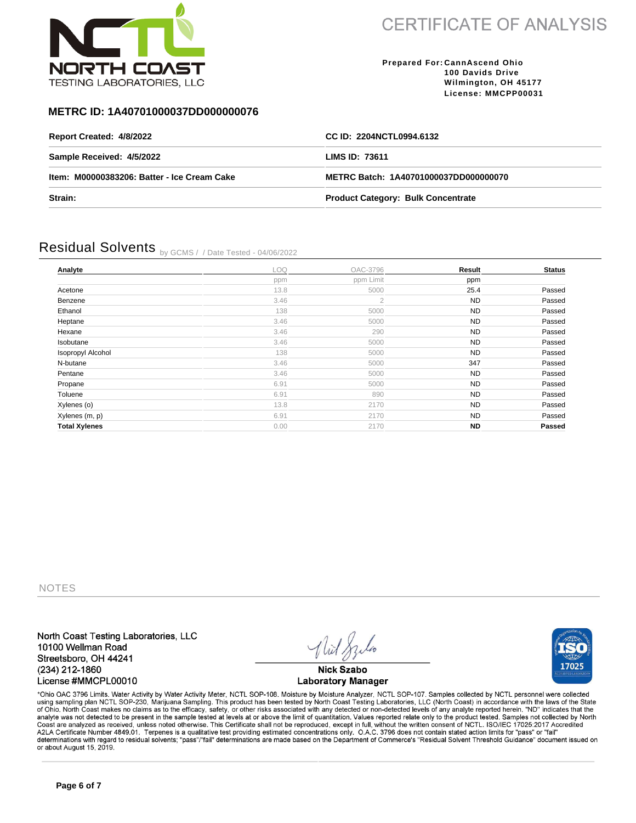

**Prepared For: CannAscend Ohio 100 Davids Drive Wilmington, OH 45177 License: MMCPP00031**

#### **METRC ID: 1A40701000037DD000000076**

| Report Created: 4/8/2022                    | CC ID: 2204NCTL0994.6132                  |
|---------------------------------------------|-------------------------------------------|
| Sample Received: 4/5/2022                   | LIMS ID: 73611                            |
| Item: M00000383206: Batter - Ice Cream Cake | METRC Batch: 1A40701000037DD000000070     |
| Strain:                                     | <b>Product Category: Bulk Concentrate</b> |

### Residual Solvents by GCMS / / Date Tested - 04/06/2022

| Analyte              | LOQ  | OAC-3796       | Result    | <b>Status</b> |
|----------------------|------|----------------|-----------|---------------|
|                      | ppm  | ppm Limit      | ppm       |               |
| Acetone              | 13.8 | 5000           | 25.4      | Passed        |
| Benzene              | 3.46 | $\overline{2}$ | <b>ND</b> | Passed        |
| Ethanol              | 138  | 5000           | <b>ND</b> | Passed        |
| Heptane              | 3.46 | 5000           | <b>ND</b> | Passed        |
| Hexane               | 3.46 | 290            | <b>ND</b> | Passed        |
| Isobutane            | 3.46 | 5000           | <b>ND</b> | Passed        |
| Isopropyl Alcohol    | 138  | 5000           | <b>ND</b> | Passed        |
| N-butane             | 3.46 | 5000           | 347       | Passed        |
| Pentane              | 3.46 | 5000           | <b>ND</b> | Passed        |
| Propane              | 6.91 | 5000           | <b>ND</b> | Passed        |
| Toluene              | 6.91 | 890            | <b>ND</b> | Passed        |
| Xylenes (o)          | 13.8 | 2170           | <b>ND</b> | Passed        |
| Xylenes (m, p)       | 6.91 | 2170           | <b>ND</b> | Passed        |
| <b>Total Xylenes</b> | 0.00 | 2170           | <b>ND</b> | <b>Passed</b> |
|                      |      |                |           |               |

NOTES

North Coast Testing Laboratories, LLC 10100 Wellman Road Streetsboro, OH 44241 (234) 212-1860 License #MMCPL00010

**Nick Szabo Laboratory Manager** 



\*Ohio OAC 3796 Limits. Water Activity by Water Activity Meter, NCTL SOP-108. Moisture by Moisture Analyzer, NCTL SOP-107. Samples collected by NCTL personnel were collected using sampling plan NCTL SOP-230, Marijuana Sampling. This product has been tested by North Coast Testing Laboratories, LLC (North Coast) in accordance with the laws of the State<br>of Ohio. North Coast makes no claims as to Coast are analyzed as received, unless noted otherwise. This Certificate shall not be reproduced, except in full, without the written consent of NCTL. ISO/IEC 17025:2017 Accredited<br>A2LA Certificate Number 4849.01. Terpenes determinations with regard to residual solvents; "pass"/"fail" determinations are made based on the Department of Commerce's "Residual Solvent Threshold Guidance" document issued on or about August 15, 2019.